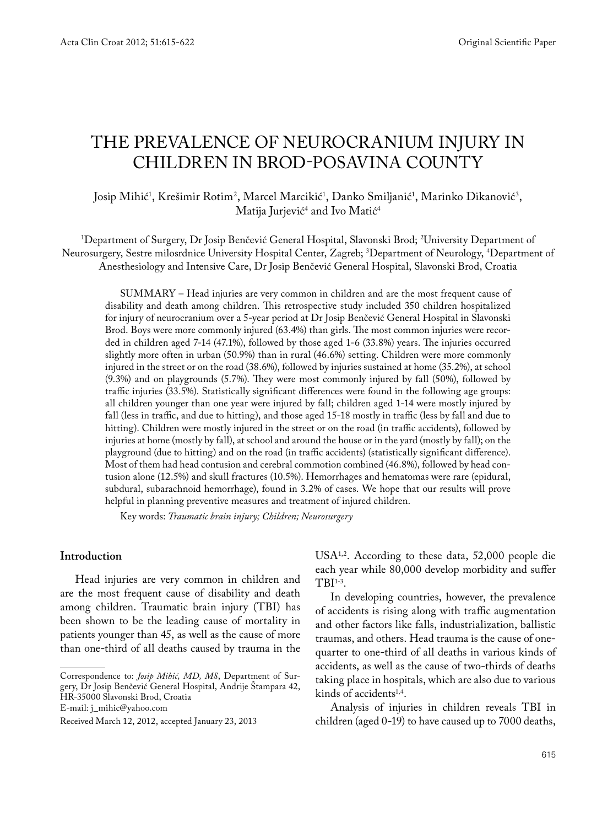# THE PREVALENCE OF NEUROCRANIUM INJURY IN CHILDREN IN BROD-POSAVINA COUNTY

Josip Mihić', Krešimir Rotim<sup>2</sup>, Marcel Marcikić', Danko Smiljanić', Marinko Dikanović<sup>3</sup>, Matija Jurjević<sup>4</sup> and Ivo Matić<sup>4</sup>

1 Department of Surgery, Dr Josip Benčević General Hospital, Slavonski Brod; 2 University Department of Neurosurgery, Sestre milosrdnice University Hospital Center, Zagreb; 3 Department of Neurology, 4 Department of Anesthesiology and Intensive Care, Dr Josip Benčević General Hospital, Slavonski Brod, Croatia

SUMMARY – Head injuries are very common in children and are the most frequent cause of disability and death among children. This retrospective study included 350 children hospitalized for injury of neurocranium over a 5-year period at Dr Josip Benčević General Hospital in Slavonski Brod. Boys were more commonly injured (63.4%) than girls. The most common injuries were recorded in children aged 7-14 (47.1%), followed by those aged 1-6 (33.8%) years. The injuries occurred slightly more often in urban (50.9%) than in rural (46.6%) setting. Children were more commonly injured in the street or on the road (38.6%), followed by injuries sustained at home (35.2%), at school (9.3%) and on playgrounds (5.7%). They were most commonly injured by fall (50%), followed by traffic injuries (33.5%). Statistically significant differences were found in the following age groups: all children younger than one year were injured by fall; children aged 1-14 were mostly injured by fall (less in traffic, and due to hitting), and those aged 15-18 mostly in traffic (less by fall and due to hitting). Children were mostly injured in the street or on the road (in traffic accidents), followed by injuries at home (mostly by fall), at school and around the house or in the yard (mostly by fall); on the playground (due to hitting) and on the road (in traffic accidents) (statistically significant difference). Most of them had head contusion and cerebral commotion combined (46.8%), followed by head contusion alone (12.5%) and skull fractures (10.5%). Hemorrhages and hematomas were rare (epidural, subdural, subarachnoid hemorrhage), found in 3.2% of cases. We hope that our results will prove helpful in planning preventive measures and treatment of injured children.

Key words: *Traumatic brain injury; Children; Neurosurgery*

## **Introduction**

Head injuries are very common in children and are the most frequent cause of disability and death among children. Traumatic brain injury (TBI) has been shown to be the leading cause of mortality in patients younger than 45, as well as the cause of more than one-third of all deaths caused by trauma in the USA<sup>1,2</sup>. According to these data, 52,000 people die each year while 80,000 develop morbidity and suffer TBI1-3.

In developing countries, however, the prevalence of accidents is rising along with traffic augmentation and other factors like falls, industrialization, ballistic traumas, and others. Head trauma is the cause of onequarter to one-third of all deaths in various kinds of accidents, as well as the cause of two-thirds of deaths taking place in hospitals, which are also due to various kinds of accidents<sup>1,4</sup>.

Analysis of injuries in children reveals TBI in children (aged 0-19) to have caused up to 7000 deaths,

Correspondence to: *Josip Mihić, MD, MS*, Department of Surgery, Dr Josip Benčević General Hospital, Andrije Štampara 42, HR-35000 Slavonski Brod, Croatia E-mail: j\_mihic@yahoo.com

Received March 12, 2012, accepted January 23, 2013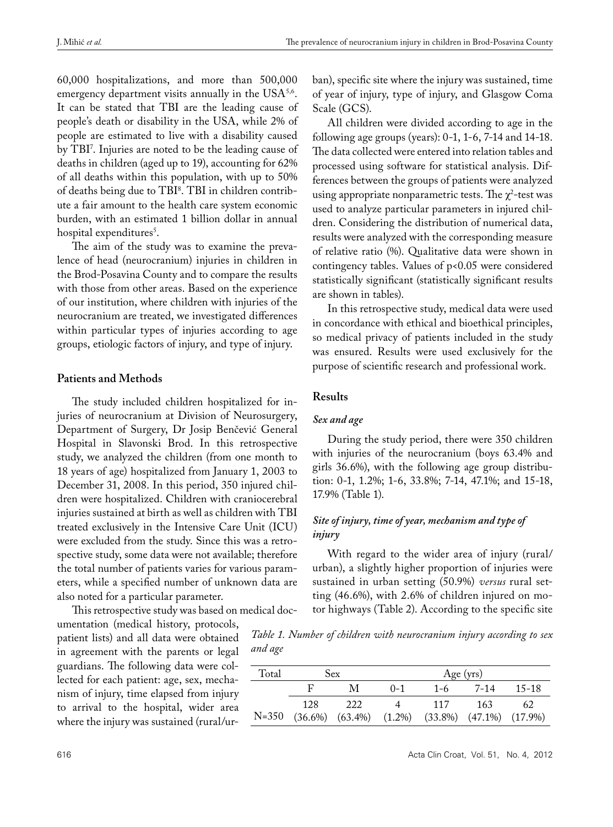60,000 hospitalizations, and more than 500,000 emergency department visits annually in the  $USA^{5,6}$ . It can be stated that TBI are the leading cause of people's death or disability in the USA, while 2% of people are estimated to live with a disability caused by TBI7 . Injuries are noted to be the leading cause of deaths in children (aged up to 19), accounting for 62% of all deaths within this population, with up to 50% of deaths being due to TBI8 . TBI in children contribute a fair amount to the health care system economic burden, with an estimated 1 billion dollar in annual hospital expenditures<sup>5</sup>.

The aim of the study was to examine the prevalence of head (neurocranium) injuries in children in the Brod-Posavina County and to compare the results with those from other areas. Based on the experience of our institution, where children with injuries of the neurocranium are treated, we investigated differences within particular types of injuries according to age groups, etiologic factors of injury, and type of injury.

## **Patients and Methods**

The study included children hospitalized for injuries of neurocranium at Division of Neurosurgery, Department of Surgery, Dr Josip Benčević General Hospital in Slavonski Brod. In this retrospective study, we analyzed the children (from one month to 18 years of age) hospitalized from January 1, 2003 to December 31, 2008. In this period, 350 injured children were hospitalized. Children with craniocerebral injuries sustained at birth as well as children with TBI treated exclusively in the Intensive Care Unit (ICU) were excluded from the study. Since this was a retrospective study, some data were not available; therefore the total number of patients varies for various parameters, while a specified number of unknown data are also noted for a particular parameter.

This retrospective study was based on medical doc-

umentation (medical history, protocols, patient lists) and all data were obtained in agreement with the parents or legal guardians. The following data were collected for each patient: age, sex, mechanism of injury, time elapsed from injury to arrival to the hospital, wider area where the injury was sustained (rural/urban), specific site where the injury was sustained, time of year of injury, type of injury, and Glasgow Coma Scale (GCS).

All children were divided according to age in the following age groups (years): 0-1, 1-6, 7-14 and 14-18. The data collected were entered into relation tables and processed using software for statistical analysis. Differences between the groups of patients were analyzed using appropriate nonparametric tests. The  $\chi^2$ -test was used to analyze particular parameters in injured children. Considering the distribution of numerical data, results were analyzed with the corresponding measure of relative ratio (%). Qualitative data were shown in contingency tables. Values of p<0.05 were considered statistically significant (statistically significant results are shown in tables).

In this retrospective study, medical data were used in concordance with ethical and bioethical principles, so medical privacy of patients included in the study was ensured. Results were used exclusively for the purpose of scientific research and professional work.

#### **Results**

## *Sex and age*

During the study period, there were 350 children with injuries of the neurocranium (boys 63.4% and girls 36.6%), with the following age group distribution: 0-1, 1.2%; 1-6, 33.8%; 7-14, 47.1%; and 15-18, 17.9% (Table 1).

# *Site of injury, time of year, mechanism and type of injury*

With regard to the wider area of injury (rural/ urban), a slightly higher proportion of injuries were sustained in urban setting (50.9%) *versus* rural setting (46.6%), with 2.6% of children injured on motor highways (Table 2). According to the specific site

*Table 1. Number of children with neurocranium injury according to sex and age* 

| Total   | Sex. |                                                                  | Age (yrs) |         |          |           |  |
|---------|------|------------------------------------------------------------------|-----------|---------|----------|-----------|--|
|         | R    | M                                                                | $() - 1$  | $1 - 6$ | $7 - 14$ | $15 - 18$ |  |
|         | 128  | 222                                                              |           | - 117   | -163     | 62        |  |
| $N=350$ |      | $(36.6\%)$ $(63.4\%)$ $(1.2\%)$ $(33.8\%)$ $(47.1\%)$ $(17.9\%)$ |           |         |          |           |  |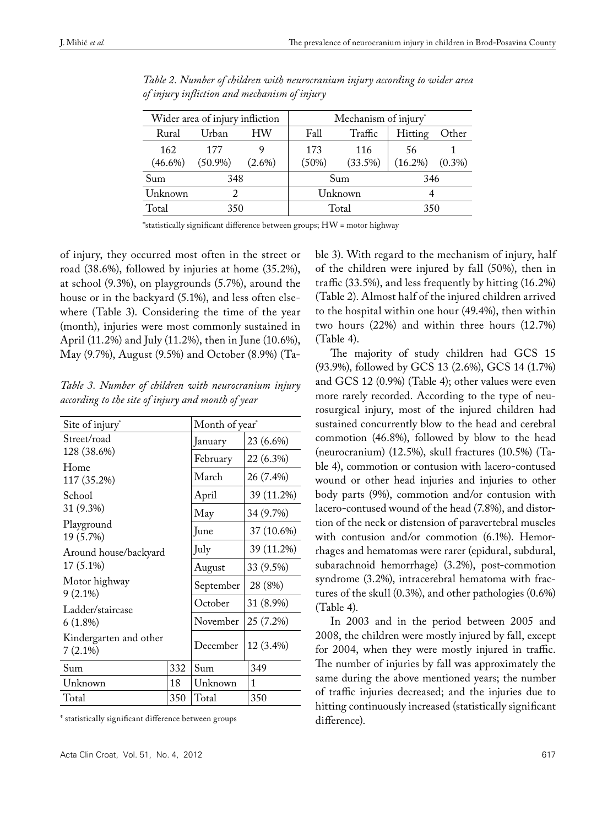| Wider area of injury infliction |            |           | Mechanism of injury* |            |            |           |  |
|---------------------------------|------------|-----------|----------------------|------------|------------|-----------|--|
| Rural                           | Urban      | HW        | Fall                 | Traffic    | Hitting    | Other     |  |
| 162                             | 177        |           | 173                  | 116        | 56         |           |  |
| $(46.6\%)$                      | $(50.9\%)$ | $(2.6\%)$ | (50%)                | $(33.5\%)$ | $(16.2\%)$ | $(0.3\%)$ |  |
| Sum                             | 348        |           | Sum                  |            | 346        |           |  |
| Unknown                         |            |           | Unknown              |            | 4          |           |  |
| Total                           | 350        |           | Total                |            | 350        |           |  |

*Table 2. Number of children with neurocranium injury according to wider area of injury infliction and mechanism of injury*

\*statistically significant difference between groups; HW = motor highway

of injury, they occurred most often in the street or road (38.6%), followed by injuries at home (35.2%), at school (9.3%), on playgrounds (5.7%), around the house or in the backyard (5.1%), and less often elsewhere (Table 3). Considering the time of the year (month), injuries were most commonly sustained in April (11.2%) and July (11.2%), then in June (10.6%), May (9.7%), August (9.5%) and October (8.9%) (Ta-

*Table 3. Number of children with neurocranium injury according to the site of injury and month of year*

| Site of injury <sup>*</sup>          | Month of year <sup>*</sup> |            |            |  |
|--------------------------------------|----------------------------|------------|------------|--|
| Street/road                          | January                    | 23 (6.6%)  |            |  |
| 128 (38.6%)                          | February                   | 22 (6.3%)  |            |  |
| Home<br>117 (35.2%)                  | March                      | 26 (7.4%)  |            |  |
| School                               |                            | April      | 39 (11.2%) |  |
| 31 (9.3%)                            | May                        | 34 (9.7%)  |            |  |
| Playground<br>19 (5.7%)              | June                       | 37 (10.6%) |            |  |
| Around house/backyard                | July                       | 39 (11.2%) |            |  |
| $17(5.1\%)$                          | August                     | 33 (9.5%)  |            |  |
| Motor highway<br>$9(2.1\%)$          | September                  | 28 (8%)    |            |  |
| Ladder/staircase                     | October                    | 31 (8.9%)  |            |  |
| $6(1.8\%)$                           | November                   | 25 (7.2%)  |            |  |
| Kindergarten and other<br>$7(2.1\%)$ | December                   | 12 (3.4%)  |            |  |
| Sum                                  | 332                        | Sum        | 349        |  |
| Unknown<br>18                        |                            | Unknown    | 1          |  |
| Total<br>350                         |                            | Total      | 350        |  |

\* statistically significant difference between groups

ble 3). With regard to the mechanism of injury, half of the children were injured by fall (50%), then in traffic (33.5%), and less frequently by hitting (16.2%) (Table 2). Almost half of the injured children arrived to the hospital within one hour (49.4%), then within two hours (22%) and within three hours (12.7%) (Table 4).

The majority of study children had GCS 15 (93.9%), followed by GCS 13 (2.6%), GCS 14 (1.7%) and GCS 12 (0.9%) (Table 4); other values were even more rarely recorded. According to the type of neurosurgical injury, most of the injured children had sustained concurrently blow to the head and cerebral commotion (46.8%), followed by blow to the head (neurocranium) (12.5%), skull fractures (10.5%) (Table 4), commotion or contusion with lacero-contused wound or other head injuries and injuries to other body parts (9%), commotion and/or contusion with lacero-contused wound of the head (7.8%), and distortion of the neck or distension of paravertebral muscles with contusion and/or commotion (6.1%). Hemorrhages and hematomas were rarer (epidural, subdural, subarachnoid hemorrhage) (3.2%), post-commotion syndrome (3.2%), intracerebral hematoma with fractures of the skull (0.3%), and other pathologies (0.6%) (Table 4).

In 2003 and in the period between 2005 and 2008, the children were mostly injured by fall, except for 2004, when they were mostly injured in traffic. The number of injuries by fall was approximately the same during the above mentioned years; the number of traffic injuries decreased; and the injuries due to hitting continuously increased (statistically significant difference).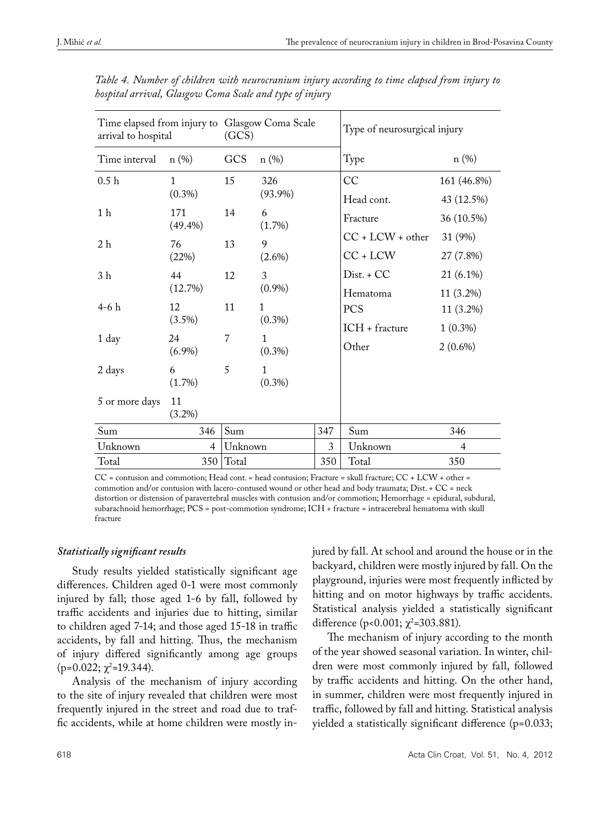| Time elapsed from injury to Glasgow Coma Scale<br>arrival to hospital |                   | (GCS)          |                           |     | Type of neurosurgical injury |             |  |
|-----------------------------------------------------------------------|-------------------|----------------|---------------------------|-----|------------------------------|-------------|--|
| Time interval                                                         | n(%)              | GCS            | n(%)                      |     | Type                         | n(%)        |  |
| 0.5 <sub>h</sub>                                                      | $\mathbf{1}$      | 15             | 326                       |     | CC                           | 161 (46.8%) |  |
|                                                                       | $(0.3\%)$         |                | $(93.9\%)$                |     | Head cont.                   | 43 (12.5%)  |  |
| 1 <sub>h</sub>                                                        | 171<br>$(49.4\%)$ | 14             | 6<br>$(1.7\%)$            |     | Fracture                     | 36 (10.5%)  |  |
| 2 <sub>h</sub>                                                        | 76<br>(22%)       | 13             | 9                         |     | $CC + LCW + other$           | 31 (9%)     |  |
|                                                                       |                   |                | $(2.6\%)$                 |     | $CC + LCW$                   | 27 (7.8%)   |  |
| 3 <sub>h</sub>                                                        | 44                | 12             | 3                         |     | $Dist. + CC$                 | 21 (6.1%)   |  |
|                                                                       | (12.7%)           |                | $(0.9\%)$                 |     | Hematoma                     | 11 (3.2%)   |  |
| $4-6h$                                                                | 12<br>$(3.5\%)$   | 11             | $\mathbf{1}$<br>$(0.3\%)$ |     | <b>PCS</b>                   | 11 (3.2%)   |  |
|                                                                       |                   |                |                           |     | ICH + fracture               | $1(0.3\%)$  |  |
| 1 day                                                                 | 24<br>$(6.9\%)$   | $\overline{7}$ | $\mathbf{1}$<br>$(0.3\%)$ |     | Other                        | $2(0.6\%)$  |  |
| 2 days                                                                | 6<br>$(1.7\%)$    | 5              | $\mathbf{1}$<br>$(0.3\%)$ |     |                              |             |  |
| 5 or more days                                                        | 11<br>$(3.2\%)$   |                |                           |     |                              |             |  |
| Sum                                                                   | 346               | Sum            |                           | 347 | Sum                          | 346         |  |
| Unknown                                                               | $\overline{4}$    | Unknown        |                           | 3   | Unknown                      | 4           |  |
| Total                                                                 | 350               | Total          |                           | 350 | Total                        | 350         |  |

*Table 4. Number of children with neurocranium injury according to time elapsed from injury to hospital arrival, Glasgow Coma Scale and type of injury* 

CC = contusion and commotion; Head cont. = head contusion; Fracture = skull fracture; CC + LCW + other = commotion and/or contusion with lacero-contused wound or other head and body traumata; Dist. + CC = neck distortion or distension of paravertebral muscles with contusion and/or commotion; Hemorrhage = epidural, subdural, subarachnoid hemorrhage; PCS = post-commotion syndrome; ICH + fracture = intracerebral hematoma with skull fracture

# *Statistically significant results*

Study results yielded statistically significant age differences. Children aged 0-1 were most commonly injured by fall; those aged 1-6 by fall, followed by traffic accidents and injuries due to hitting, similar to children aged 7-14; and those aged 15-18 in traffic accidents, by fall and hitting. Thus, the mechanism of injury differed significantly among age groups  $(p=0.022; \chi^2=19.344).$ 

Analysis of the mechanism of injury according to the site of injury revealed that children were most frequently injured in the street and road due to traffic accidents, while at home children were mostly injured by fall. At school and around the house or in the backyard, children were mostly injured by fall. On the playground, injuries were most frequently inflicted by hitting and on motor highways by traffic accidents. Statistical analysis yielded a statistically significant difference (p<0.001;  $\chi^2$ =303.881).

The mechanism of injury according to the month of the year showed seasonal variation. In winter, children were most commonly injured by fall, followed by traffic accidents and hitting. On the other hand, in summer, children were most frequently injured in traffic, followed by fall and hitting. Statistical analysis yielded a statistically significant difference (p=0.033;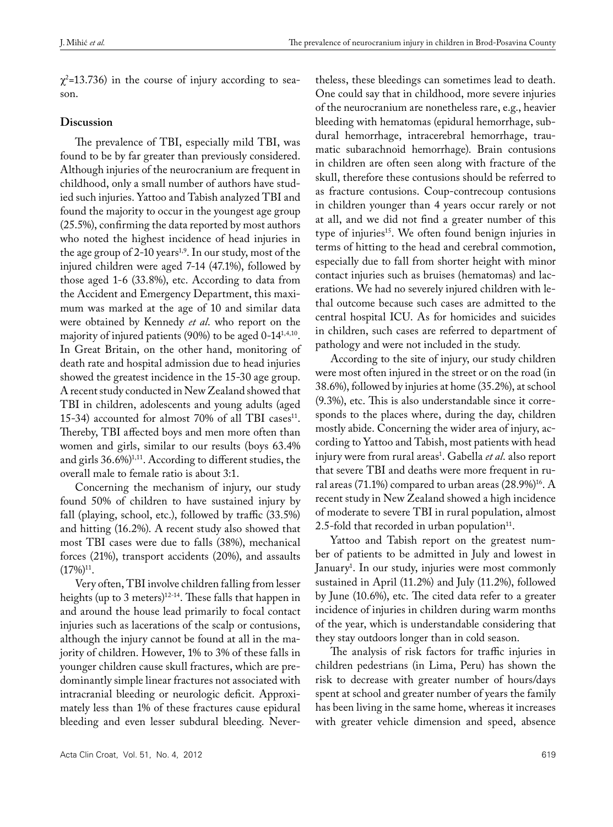$\chi^2$ =13.736) in the course of injury according to season.

## **Discussion**

The prevalence of TBI, especially mild TBI, was found to be by far greater than previously considered. Although injuries of the neurocranium are frequent in childhood, only a small number of authors have studied such injuries. Yattoo and Tabish analyzed TBI and found the majority to occur in the youngest age group (25.5%), confirming the data reported by most authors who noted the highest incidence of head injuries in the age group of  $2$ -10 years<sup>1,9</sup>. In our study, most of the injured children were aged 7-14 (47.1%), followed by those aged 1-6 (33.8%), etc. According to data from the Accident and Emergency Department, this maximum was marked at the age of 10 and similar data were obtained by Kennedy *et al*. who report on the majority of injured patients (90%) to be aged 0-141,4,10. In Great Britain, on the other hand, monitoring of death rate and hospital admission due to head injuries showed the greatest incidence in the 15-30 age group. A recent study conducted in New Zealand showed that TBI in children, adolescents and young adults (aged 15-34) accounted for almost 70% of all TBI cases<sup>11</sup>. Thereby, TBI affected boys and men more often than women and girls, similar to our results (boys 63.4% and girls 36.6%)<sup>1,11</sup>. According to different studies, the overall male to female ratio is about 3:1.

Concerning the mechanism of injury, our study found 50% of children to have sustained injury by fall (playing, school, etc.), followed by traffic (33.5%) and hitting (16.2%). A recent study also showed that most TBI cases were due to falls (38%), mechanical forces (21%), transport accidents (20%), and assaults  $(17\%)^{11}$ .

Very often, TBI involve children falling from lesser heights (up to 3 meters) $12-14$ . These falls that happen in and around the house lead primarily to focal contact injuries such as lacerations of the scalp or contusions, although the injury cannot be found at all in the majority of children. However, 1% to 3% of these falls in younger children cause skull fractures, which are predominantly simple linear fractures not associated with intracranial bleeding or neurologic deficit. Approximately less than 1% of these fractures cause epidural bleeding and even lesser subdural bleeding. Nevertheless, these bleedings can sometimes lead to death. One could say that in childhood, more severe injuries of the neurocranium are nonetheless rare, e.g., heavier bleeding with hematomas (epidural hemorrhage, subdural hemorrhage, intracerebral hemorrhage, traumatic subarachnoid hemorrhage). Brain contusions in children are often seen along with fracture of the skull, therefore these contusions should be referred to as fracture contusions. Coup-contrecoup contusions in children younger than 4 years occur rarely or not at all, and we did not find a greater number of this type of injuries<sup>15</sup>. We often found benign injuries in terms of hitting to the head and cerebral commotion, especially due to fall from shorter height with minor contact injuries such as bruises (hematomas) and lacerations. We had no severely injured children with lethal outcome because such cases are admitted to the central hospital ICU. As for homicides and suicides in children, such cases are referred to department of pathology and were not included in the study.

According to the site of injury, our study children were most often injured in the street or on the road (in 38.6%), followed by injuries at home (35.2%), at school (9.3%), etc. This is also understandable since it corresponds to the places where, during the day, children mostly abide. Concerning the wider area of injury, according to Yattoo and Tabish, most patients with head injury were from rural areas<sup>1</sup>. Gabella *et al*. also report that severe TBI and deaths were more frequent in rural areas (71.1%) compared to urban areas  $(28.9\%)^{16}$ . A recent study in New Zealand showed a high incidence of moderate to severe TBI in rural population, almost 2.5-fold that recorded in urban population $11$ .

Yattoo and Tabish report on the greatest number of patients to be admitted in July and lowest in January1 . In our study, injuries were most commonly sustained in April (11.2%) and July (11.2%), followed by June (10.6%), etc. The cited data refer to a greater incidence of injuries in children during warm months of the year, which is understandable considering that they stay outdoors longer than in cold season.

The analysis of risk factors for traffic injuries in children pedestrians (in Lima, Peru) has shown the risk to decrease with greater number of hours/days spent at school and greater number of years the family has been living in the same home, whereas it increases with greater vehicle dimension and speed, absence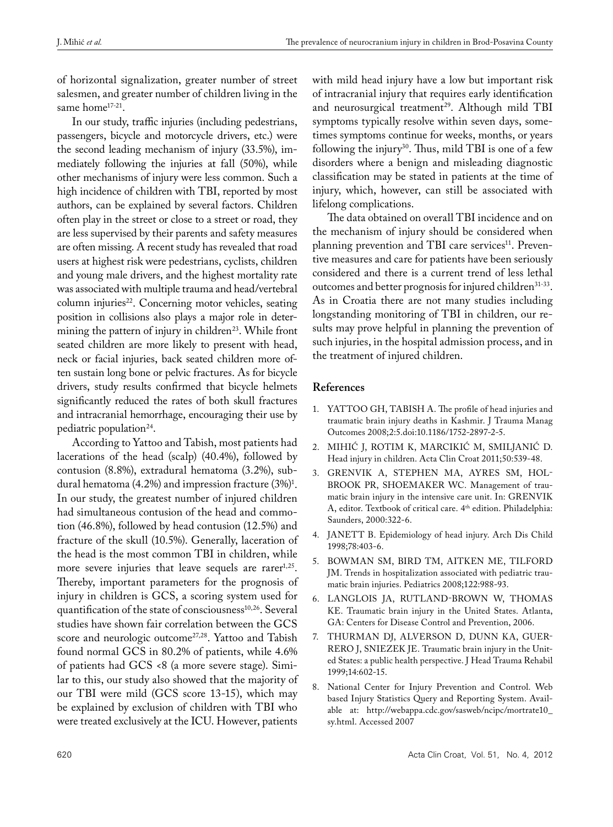of horizontal signalization, greater number of street salesmen, and greater number of children living in the same home<sup>17-21</sup>.

In our study, traffic injuries (including pedestrians, passengers, bicycle and motorcycle drivers, etc.) were the second leading mechanism of injury (33.5%), immediately following the injuries at fall (50%), while other mechanisms of injury were less common. Such a high incidence of children with TBI, reported by most authors, can be explained by several factors. Children often play in the street or close to a street or road, they are less supervised by their parents and safety measures are often missing. A recent study has revealed that road users at highest risk were pedestrians, cyclists, children and young male drivers, and the highest mortality rate was associated with multiple trauma and head/vertebral column injuries<sup>22</sup>. Concerning motor vehicles, seating position in collisions also plays a major role in determining the pattern of injury in children<sup>23</sup>. While front seated children are more likely to present with head, neck or facial injuries, back seated children more often sustain long bone or pelvic fractures. As for bicycle drivers, study results confirmed that bicycle helmets significantly reduced the rates of both skull fractures and intracranial hemorrhage, encouraging their use by pediatric population<sup>24</sup>.

According to Yattoo and Tabish, most patients had lacerations of the head (scalp) (40.4%), followed by contusion (8.8%), extradural hematoma (3.2%), subdural hematoma (4.2%) and impression fracture (3%)<sup>1</sup>. In our study, the greatest number of injured children had simultaneous contusion of the head and commotion (46.8%), followed by head contusion (12.5%) and fracture of the skull (10.5%). Generally, laceration of the head is the most common TBI in children, while more severe injuries that leave sequels are rarer $1,25$ . Thereby, important parameters for the prognosis of injury in children is GCS, a scoring system used for quantification of the state of consciousness<sup>10,26</sup>. Several studies have shown fair correlation between the GCS score and neurologic outcome<sup>27,28</sup>. Yattoo and Tabish found normal GCS in 80.2% of patients, while 4.6% of patients had GCS <8 (a more severe stage). Similar to this, our study also showed that the majority of our TBI were mild (GCS score 13-15), which may be explained by exclusion of children with TBI who were treated exclusively at the ICU. However, patients

with mild head injury have a low but important risk of intracranial injury that requires early identification and neurosurgical treatment<sup>29</sup>. Although mild TBI symptoms typically resolve within seven days, sometimes symptoms continue for weeks, months, or years following the injury<sup>30</sup>. Thus, mild TBI is one of a few disorders where a benign and misleading diagnostic classification may be stated in patients at the time of injury, which, however, can still be associated with lifelong complications.

The data obtained on overall TBI incidence and on the mechanism of injury should be considered when planning prevention and TBI care services<sup>11</sup>. Preventive measures and care for patients have been seriously considered and there is a current trend of less lethal outcomes and better prognosis for injured children<sup>31-33</sup>. As in Croatia there are not many studies including longstanding monitoring of TBI in children, our results may prove helpful in planning the prevention of such injuries, in the hospital admission process, and in the treatment of injured children.

## **References**

- 1. YATTOO GH, TABISH A. The profile of head injuries and traumatic brain injury deaths in Kashmir. J Trauma Manag Outcomes 2008;2:5.doi:10.1186/1752-2897-2-5.
- 2. Mihić J, Rotim K, Marcikić M, Smiljanić D. Head injury in children. Acta Clin Croat 2011;50:539-48.
- 3. Grenvik A, Stephen MA, Ayres SM, Hol-BROOK PR, SHOEMAKER WC. Management of traumatic brain injury in the intensive care unit. In: GRENVIK A, editor. Textbook of critical care. 4<sup>th</sup> edition. Philadelphia: Saunders, 2000:322-6.
- 4. JANETT B. Epidemiology of head injury. Arch Dis Child 1998;78:403-6.
- 5. Bowman SM, Bird TM, Aitken ME, Tilford JM. Trends in hospitalization associated with pediatric traumatic brain injuries. Pediatrics 2008;122:988-93.
- 6. Langlois JA, Rutland-Brown W, Thomas KE. Traumatic brain injury in the United States. Atlanta, GA: Centers for Disease Control and Prevention, 2006.
- 7. Thurman DJ, Alverson D, Dunn KA, Guer-RERO J, SNIEZEK JE. Traumatic brain injury in the United States: a public health perspective. J Head Trauma Rehabil 1999;14:602-15.
- 8. National Center for Injury Prevention and Control. Web based Injury Statistics Query and Reporting System. Available at: http://webappa.cdc.gov/sasweb/ncipc/mortrate10\_ sy.html. Accessed 2007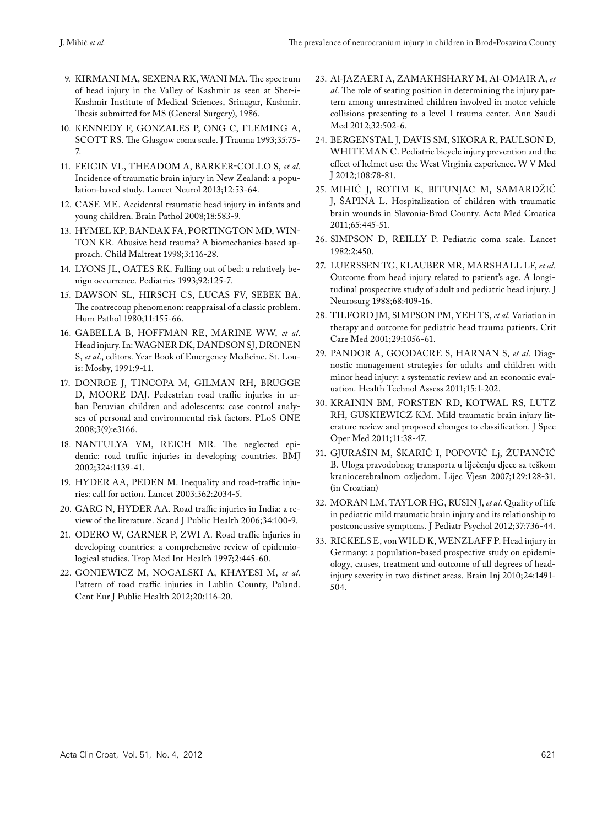- 9. Kirmani MA, Sexena RK, Wani MA. The spectrum of head injury in the Valley of Kashmir as seen at Sher-i-Kashmir Institute of Medical Sciences, Srinagar, Kashmir. Thesis submitted for MS (General Surgery), 1986.
- 10. Kennedy F, Gonzales P, Ong C, Fleming A, SCOTT RS. The Glasgow coma scale. J Trauma 1993;35:75-7.
- 11. Feigin VL, Theadom A, Barker-Collo S, *et al*. Incidence of traumatic brain injury in New Zealand: a population-based study. Lancet Neurol 2013;12:53-64.
- 12. CASE ME. Accidental traumatic head injury in infants and young children. Brain Pathol 2008;18:583-9.
- 13. Hymel KP, Bandak FA, Portington MD, Win-TON KR. Abusive head trauma? A biomechanics-based approach. Child Maltreat 1998;3:116-28.
- 14. LYONS JL, OATES RK. Falling out of bed: a relatively benign occurrence. Pediatrics 1993;92:125-7.
- 15. Dawson SL, Hirsch CS, Lucas FV, Sebek BA. The contrecoup phenomenon: reappraisal of a classic problem. Hum Pathol 1980;11:155-66.
- 16. Gabella B, Hoffman RE, Marine WW, *et al*. Head injury. In: WAGNER DK, DANDSON SJ, DRONEN S, *et al*., editors. Year Book of Emergency Medicine. St. Louis: Mosby, 1991:9-11.
- 17. Donroe J, Tincopa M, Gilman RH, Brugge D, MOORE DAJ. Pedestrian road traffic injuries in urban Peruvian children and adolescents: case control analyses of personal and environmental risk factors. PLoS ONE 2008;3(9):e3166.
- 18. Nantulya VM, Reich MR. The neglected epidemic: road traffic injuries in developing countries. BMJ 2002;324:1139-41.
- 19. HYDER AA, PEDEN M. Inequality and road-traffic injuries: call for action. Lancet 2003;362:2034-5.
- 20. GARG N, HYDER AA. Road traffic injuries in India: a review of the literature. Scand J Public Health 2006;34:100-9.
- 21. ODERO W, GARNER P, ZWI A. Road traffic injuries in developing countries: a comprehensive review of epidemiological studies. Trop Med Int Health 1997;2:445-60.
- 22. Goniewicz M, Nogalski A, Khayesi M, *et al*. Pattern of road traffic injuries in Lublin County, Poland. Cent Eur J Public Health 2012;20:116-20.
- 23. Al-Jazaeri A, Zamakhshary M, Al-Omair A, *et al*. The role of seating position in determining the injury pattern among unrestrained children involved in motor vehicle collisions presenting to a level I trauma center. Ann Saudi Med 2012;32:502-6.
- 24. Bergenstal J, Davis SM, Sikora R, Paulson D, WHITEMAN C. Pediatric bicycle injury prevention and the effect of helmet use: the West Virginia experience. W V Med J 2012;108:78-81.
- 25. Mihić J, Rotim K, Bitunjac M, Samardžić J, ŠAPINA L. Hospitalization of children with traumatic brain wounds in Slavonia-Brod County. Acta Med Croatica 2011;65:445-51.
- 26. Simpson D, Reilly P. Pediatric coma scale. Lancet 1982:2:450.
- 27. Luerssen TG, Klauber MR, Marshall LF, *et al*. Outcome from head injury related to patient's age. A longitudinal prospective study of adult and pediatric head injury. J Neurosurg 1988;68:409-16.
- 28. TILFORD JM, SIMPSON PM, YEH TS, et al. Variation in therapy and outcome for pediatric head trauma patients. Crit Care Med 2001;29:1056-61.
- 29. Pandor A, Goodacre S, Harnan S, *et al*. Diagnostic management strategies for adults and children with minor head injury: a systematic review and an economic evaluation. Health Technol Assess 2011;15:1-202.
- 30. Krainin BM, Forsten RD, Kotwal RS, Lutz RH, Guskiewicz KM. Mild traumatic brain injury literature review and proposed changes to classification. J Spec Oper Med 2011;11:38-47.
- 31. Gjurašin M, Škarić I, Popović Lj, Župančić B. Uloga pravodobnog transporta u liječenju djece sa teškom kraniocerebralnom ozljedom. Lijec Vjesn 2007;129:128-31. (in Croatian)
- 32. Moran LM, Taylor HG, Rusin J, *et al*. Quality of life in pediatric mild traumatic brain injury and its relationship to postconcussive symptoms. J Pediatr Psychol 2012;37:736-44.
- 33. RICKELS E, von WILD K, WENZLAFF P. Head injury in Germany: a population-based prospective study on epidemiology, causes, treatment and outcome of all degrees of headinjury severity in two distinct areas. Brain Inj 2010;24:1491- 504.